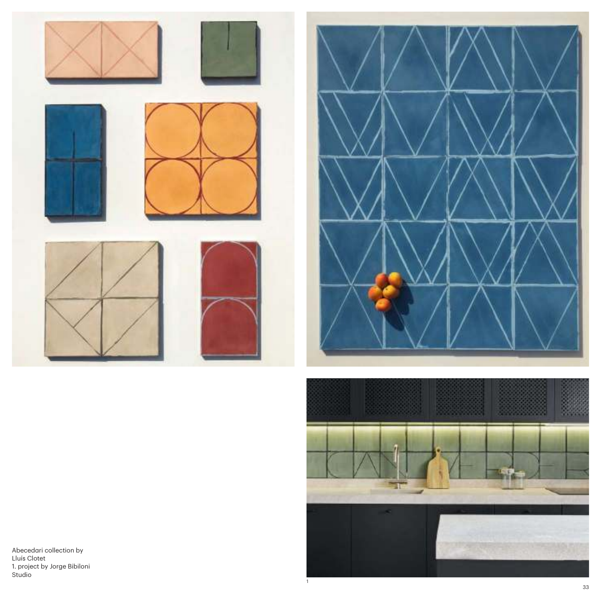





1

Abecedari collection by Lluís Clotet 1. project by Jorge Bibiloni Studio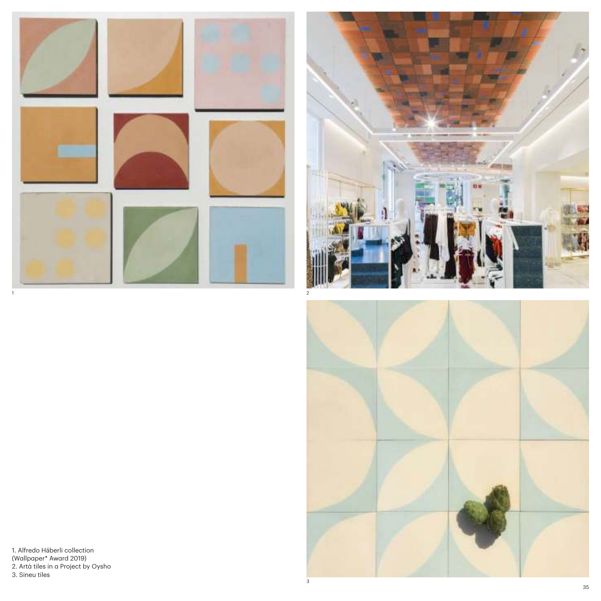



1. Alfredo Häberli collection (Wallpaper\* Award 2019) 2. Artà tiles in a Project by Oysho 3. Sineu tiles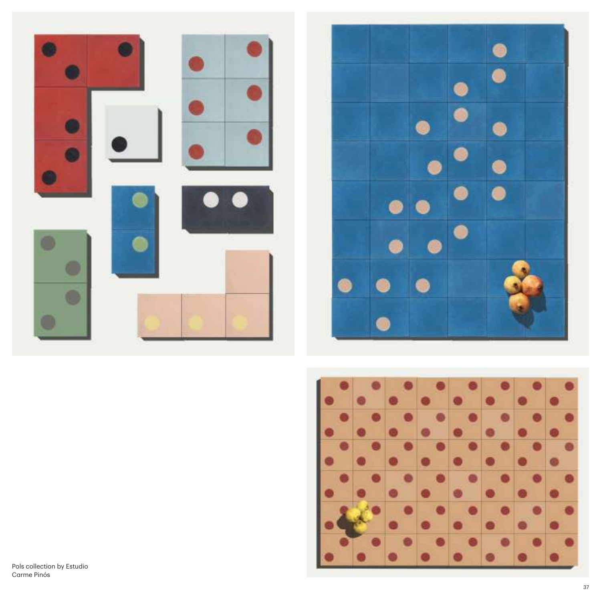



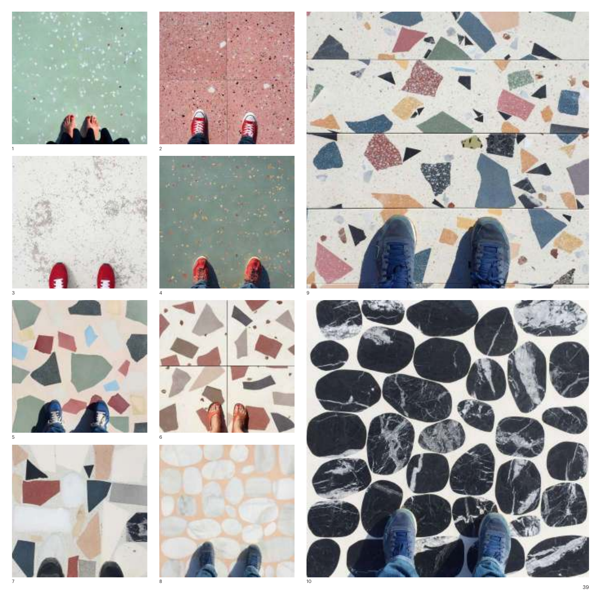

















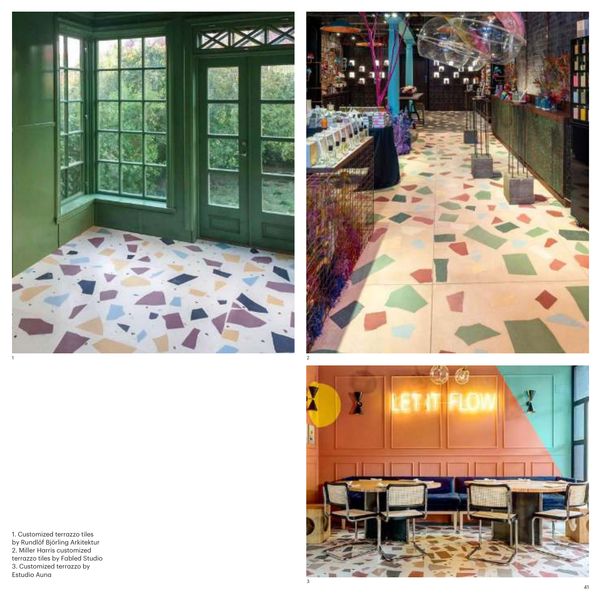





1. Customized terrazzo tiles by Rundlöf Björling Arkitektur 2. Miller Harris customized terrazzo tiles by Fabled Studio 3. Customized terrazzo by Estudio Auna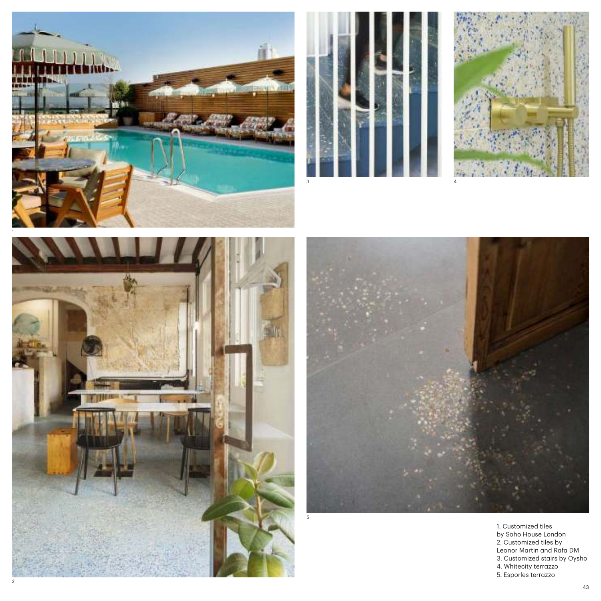









4

1. Customized tiles by Soho House London 2. Customized tiles by Leonor Martin and Rafa DM 3. Customized stairs by Oysho 4. Whitecity terrazzo 5. Esporles terrazzo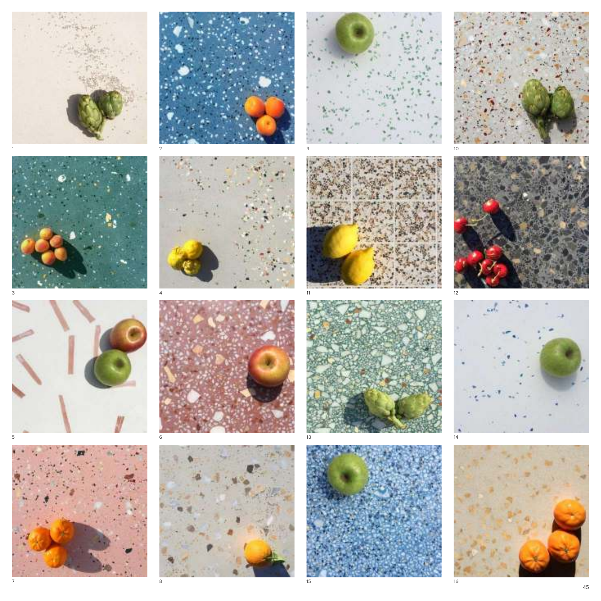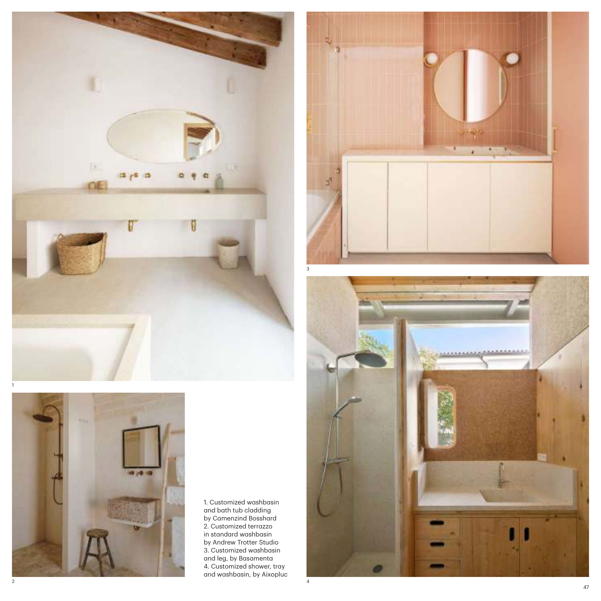



1. Customized washbasin and bath tub cladding by Camenzind Bosshard 2. Customized terrazzo in standard washbasin by Andrew Trotter Studio 3. Customized washbasin and leg, by Basamenta 4. Customized shower, tray and washbasin, by Aixopluc



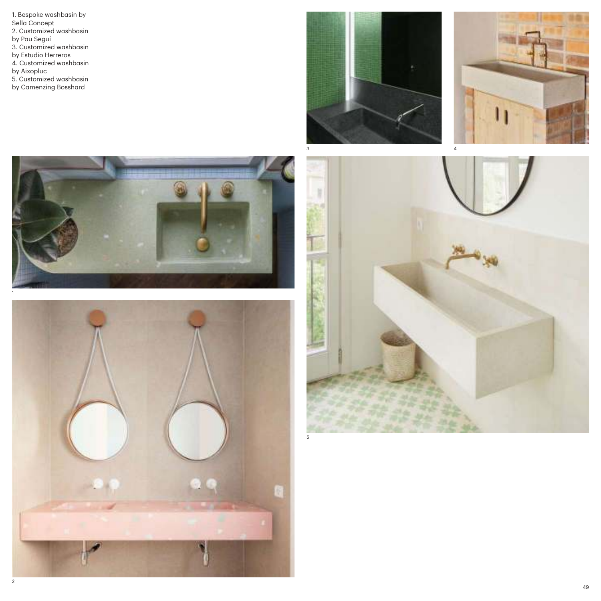1. Bespoke washbasin by Sella Concept 2. Customized washbasin by Pau Seguí 3. Customized washbasin by Estudio Herreros 4. Customized washbasin by Aixopluc 5. Customized washbasin by Camenzing Bosshard









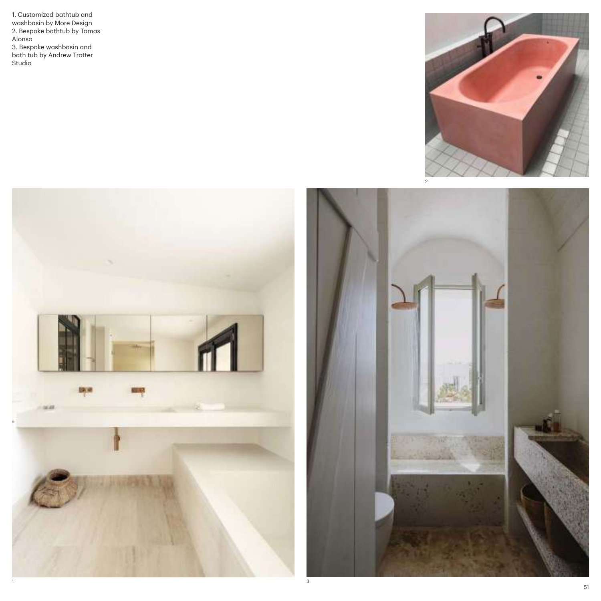1. Customized bathtub and washbasin by More Design 2. Bespoke bathtub by Tomas Alonso 3. Bespoke washbasin and bath tub by Andrew Trotter Studio





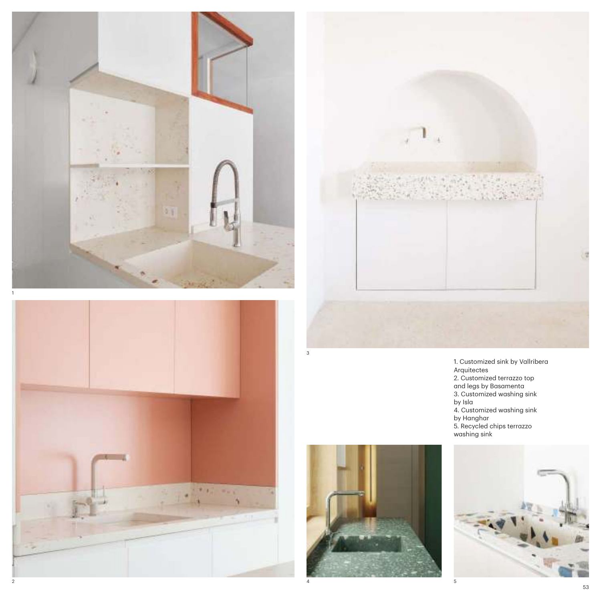





1. Customized sink by Vallribera Arquitectes 2. Customized terrazzo top and legs by Basamenta 3. Customized washing sink by Isla 4. Customized washing sink by Hanghar 5. Recycled chips terrazzo washing sink



3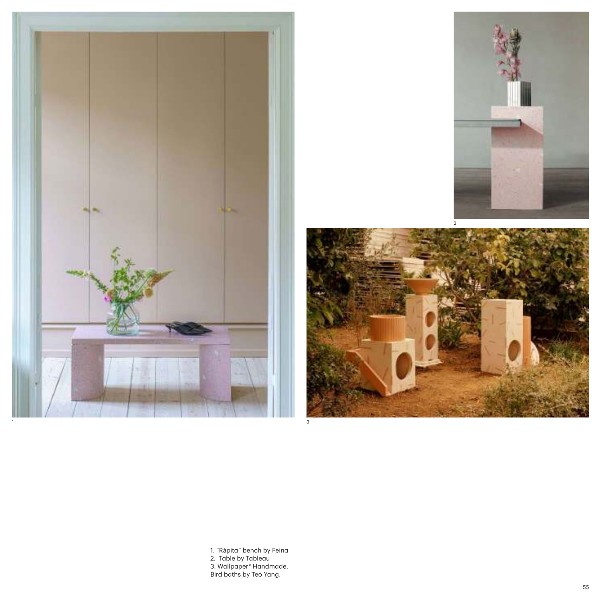





1. "Ràpita" bench by Feina 2. Table by Tableau 3. Wallpaper\* Handmade. Bird baths by Teo Yang.

3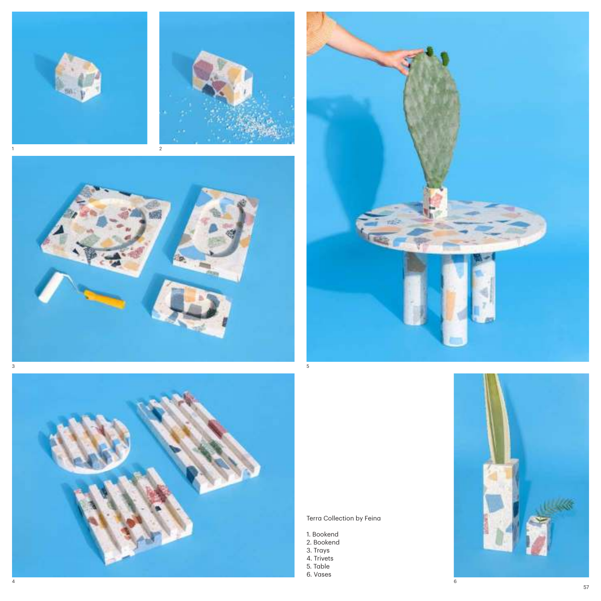







## Terra Collection by Feina

- 1. Bookend
- 2. Bookend
- 3. Trays
- 4. Trivets
- 5. Table
- 6. Vases

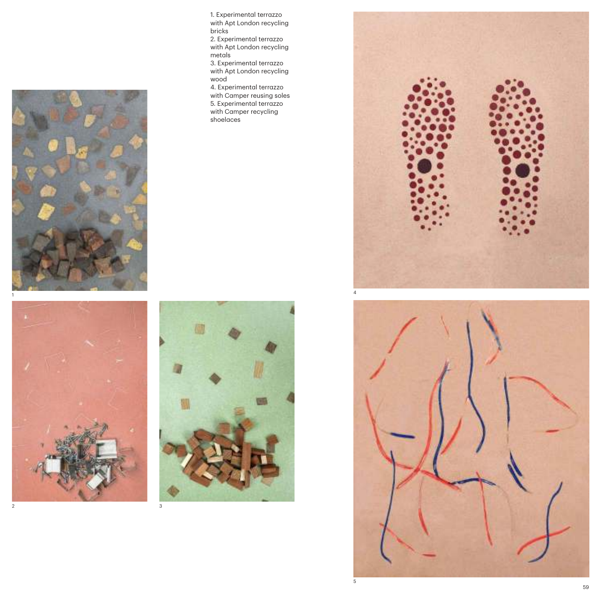



1. Experimental terrazzo with Apt London recycling bricks 2. Experimental terrazzo with Apt London recycling

metals 3. Experimental terrazzo with Apt London recycling wood

4. Experimental terrazzo with Camper reusing soles 5. Experimental terrazzo with Camper recycling shoelaces



![](_page_13_Picture_6.jpeg)

![](_page_13_Picture_7.jpeg)

 $\,$  5  $\,$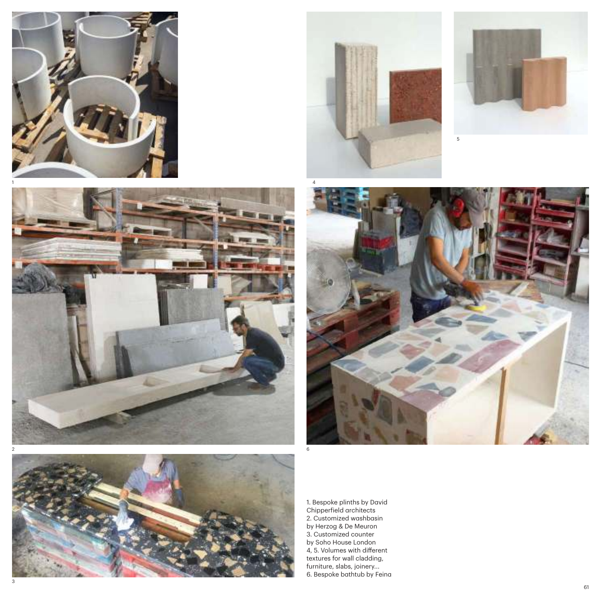![](_page_14_Picture_0.jpeg)

![](_page_14_Picture_1.jpeg)

![](_page_14_Picture_2.jpeg)

![](_page_14_Picture_3.jpeg)

![](_page_14_Picture_4.jpeg)

![](_page_14_Picture_5.jpeg)

1. Bespoke plinths by David Chipperfield architects 2. Customized washbasin by Herzog & De Meuron 3. Customized counter by Soho House London 4, 5. Volumes with different textures for wall cladding, furniture, slabs, joinery... 6. Bespoke bathtub by Feina